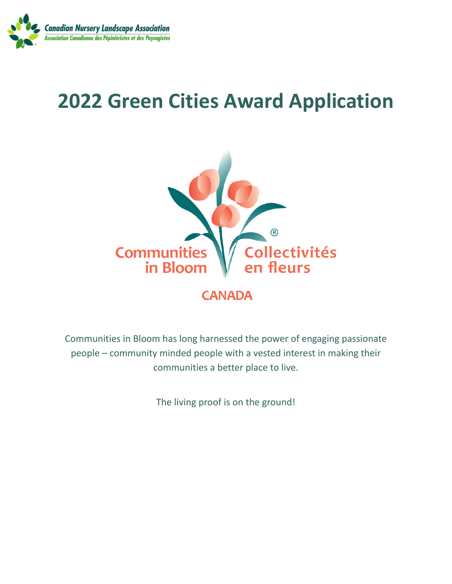

# **2022 Green Cities Award Application**



Communities in Bloom has long harnessed the power of engaging passionate people – community minded people with a vested interest in making their communities a better place to live.

The living proof is on the ground!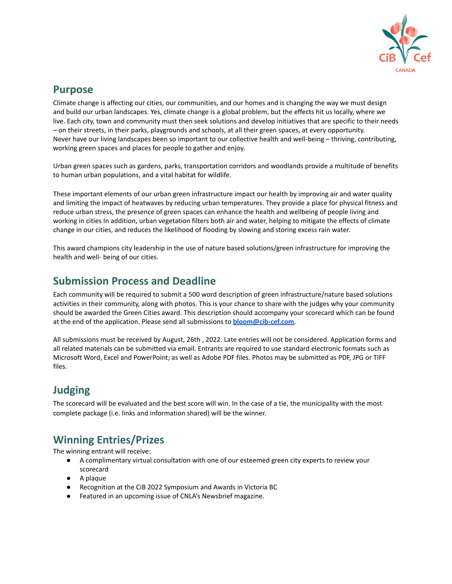

## **Purpose**

Climate change is affecting our cities, our communities, and our homes and is changing the way we must design and build our urban landscapes. Yes, climate change is a global problem, but the effects hit us locally, where we live. Each city, town and community must then seek solutions and develop initiatives that are specific to their needs – on their streets, in their parks, playgrounds and schools, at all their green spaces, at every opportunity. Never have our living landscapes been so important to our collective health and well-being – thriving, contributing, working green spaces and places for people to gather and enjoy.

Urban green spaces such as gardens, parks, transportation corridors and woodlands provide a multitude of benefits to human urban populations, and a vital habitat for wildlife.

These important elements of our urban green infrastructure impact our health by improving air and water quality and limiting the impact of heatwaves by reducing urban temperatures. They provide a place for physical fitness and reduce urban stress, the presence of green spaces can enhance the health and wellbeing of people living and working in cities In addition, urban vegetation filters both air and water, helping to mitigate the effects of climate change in our cities, and reduces the likelihood of flooding by slowing and storing excess rain water.

This award champions city leadership in the use of nature based solutions/green infrastructure for improving the health and well- being of our cities.

## **Submission Process and Deadline**

Each community will be required to submit a 500 word description of green infrastructure/nature based solutions activities in their community, along with photos. This is your chance to share with the judges why your community should be awarded the Green Cities award. This description should accompany your scorecard which can be found at the end of the application. Please send all submissions to **[bloom@cib-cef.com](mailto:bloom@cib-cef.com)**.

All submissions must be received by August, 26th , 2022. Late entries will not be considered. Application forms and all related materials can be submitted via email. Entrants are required to use standard electronic formats such as Microsoft Word, Excel and PowerPoint; as well as Adobe PDF files. Photos may be submitted as PDF, JPG or TIFF files.

# **Judging**

The scorecard will be evaluated and the best score will win. In the case of a tie, the municipality with the most complete package (i.e. links and information shared) will be the winner.

# **Winning Entries/Prizes**

The winning entrant will receive:

- A complimentary virtual consultation with one of our esteemed green city experts to review your scorecard
- A plaque
- Recognition at the CiB 2022 Symposium and Awards in Victoria BC
- Featured in an upcoming issue of CNLA's Newsbrief magazine.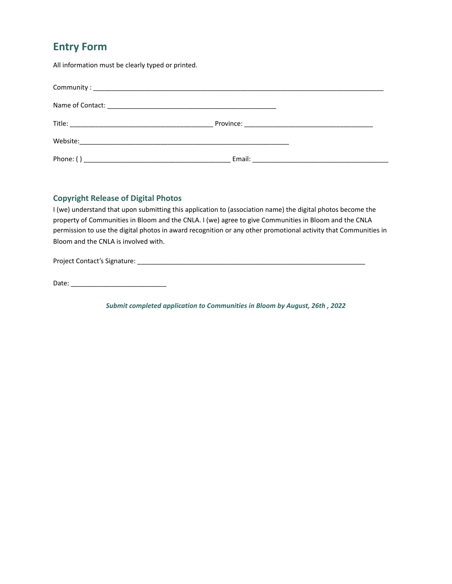## **Entry Form**

All information must be clearly typed or printed.

#### **Copyright Release of Digital Photos**

I (we) understand that upon submitting this application to (association name) the digital photos become the property of Communities in Bloom and the CNLA. I (we) agree to give Communities in Bloom and the CNLA permission to use the digital photos in award recognition or any other promotional activity that Communities in Bloom and the CNLA is involved with.

Project Contact's Signature: \_\_\_\_\_\_\_\_\_\_\_\_\_\_\_\_\_\_\_\_\_\_\_\_\_\_\_\_\_\_\_\_\_\_\_\_\_\_\_\_\_\_\_\_\_\_\_\_\_\_\_\_\_\_\_\_\_\_\_\_\_\_

Date: \_\_\_\_\_\_\_\_\_\_\_\_\_\_\_\_\_\_\_\_\_\_\_\_\_\_

*Submit completed application to Communities in Bloom by August, 26th , 2022*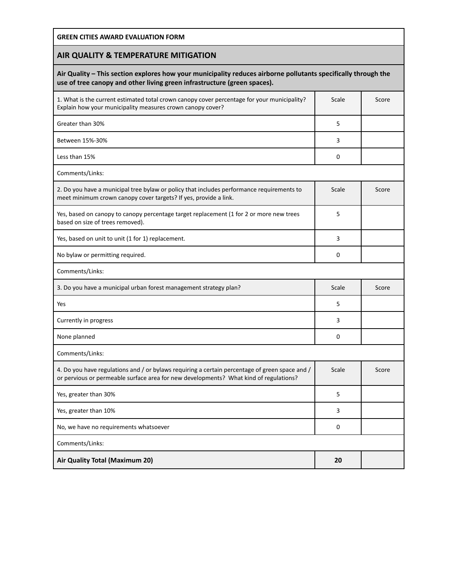**GREEN CITIES AWARD EVALUATION FORM**

### **AIR QUALITY & TEMPERATURE MITIGATION**

#### **Air Quality – This section explores how your municipality reduces airborne pollutants specifically through the use of tree canopy and other living green infrastructure (green spaces).**

| 1. What is the current estimated total crown canopy cover percentage for your municipality?<br>Explain how your municipality measures crown canopy cover?                               | Scale | Score |
|-----------------------------------------------------------------------------------------------------------------------------------------------------------------------------------------|-------|-------|
| Greater than 30%                                                                                                                                                                        | 5     |       |
| Between 15%-30%                                                                                                                                                                         | 3     |       |
| Less than 15%                                                                                                                                                                           | 0     |       |
| Comments/Links:                                                                                                                                                                         |       |       |
| 2. Do you have a municipal tree bylaw or policy that includes performance requirements to<br>meet minimum crown canopy cover targets? If yes, provide a link.                           | Scale | Score |
| Yes, based on canopy to canopy percentage target replacement (1 for 2 or more new trees<br>based on size of trees removed).                                                             | 5     |       |
| Yes, based on unit to unit (1 for 1) replacement.                                                                                                                                       | 3     |       |
| No bylaw or permitting required.                                                                                                                                                        | 0     |       |
| Comments/Links:                                                                                                                                                                         |       |       |
| 3. Do you have a municipal urban forest management strategy plan?                                                                                                                       | Scale | Score |
|                                                                                                                                                                                         |       |       |
| Yes                                                                                                                                                                                     | 5     |       |
| Currently in progress                                                                                                                                                                   | 3     |       |
| None planned                                                                                                                                                                            | 0     |       |
| Comments/Links:                                                                                                                                                                         |       |       |
| 4. Do you have regulations and / or bylaws requiring a certain percentage of green space and /<br>or pervious or permeable surface area for new developments? What kind of regulations? | Scale | Score |
| Yes, greater than 30%                                                                                                                                                                   | 5     |       |
| Yes, greater than 10%                                                                                                                                                                   | 3     |       |
| No, we have no requirements whatsoever                                                                                                                                                  | 0     |       |
| Comments/Links:                                                                                                                                                                         |       |       |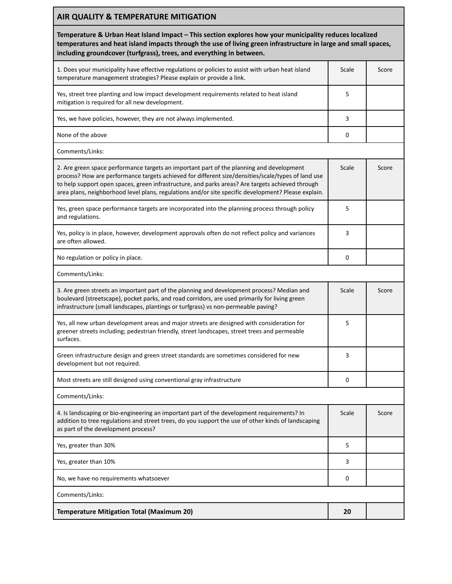| AIR QUALITY & TEMPERATURE MITIGATION                                                                                                                                                                                                                                                                                                                                                                      |       |       |
|-----------------------------------------------------------------------------------------------------------------------------------------------------------------------------------------------------------------------------------------------------------------------------------------------------------------------------------------------------------------------------------------------------------|-------|-------|
| Temperature & Urban Heat Island Impact - This section explores how your municipality reduces localized<br>temperatures and heat island impacts through the use of living green infrastructure in large and small spaces,<br>including groundcover (turfgrass), trees, and everything in between.                                                                                                          |       |       |
| 1. Does your municipality have effective regulations or policies to assist with urban heat island<br>temperature management strategies? Please explain or provide a link.                                                                                                                                                                                                                                 | Scale | Score |
| Yes, street tree planting and low impact development requirements related to heat island<br>mitigation is required for all new development.                                                                                                                                                                                                                                                               | 5     |       |
| Yes, we have policies, however, they are not always implemented.                                                                                                                                                                                                                                                                                                                                          | 3     |       |
| None of the above                                                                                                                                                                                                                                                                                                                                                                                         | 0     |       |
| Comments/Links:                                                                                                                                                                                                                                                                                                                                                                                           |       |       |
| 2. Are green space performance targets an important part of the planning and development<br>process? How are performance targets achieved for different size/densities/scale/types of land use<br>to help support open spaces, green infrastructure, and parks areas? Are targets achieved through<br>area plans, neighborhood level plans, regulations and/or site specific development? Please explain. | Scale | Score |
| Yes, green space performance targets are incorporated into the planning process through policy<br>and regulations.                                                                                                                                                                                                                                                                                        | 5     |       |
| Yes, policy is in place, however, development approvals often do not reflect policy and variances<br>are often allowed.                                                                                                                                                                                                                                                                                   | 3     |       |
| No regulation or policy in place.                                                                                                                                                                                                                                                                                                                                                                         | 0     |       |
| Comments/Links:                                                                                                                                                                                                                                                                                                                                                                                           |       |       |
| 3. Are green streets an important part of the planning and development process? Median and<br>boulevard (streetscape), pocket parks, and road corridors, are used primarily for living green<br>infrastructure (small landscapes, plantings or turfgrass) vs non-permeable paving?                                                                                                                        | Scale | Score |
| Yes, all new urban development areas and major streets are designed with consideration for<br>greener streets including; pedestrian friendly, street landscapes, street trees and permeable<br>surfaces.                                                                                                                                                                                                  | 5     |       |
| Green infrastructure design and green street standards are sometimes considered for new<br>development but not required.                                                                                                                                                                                                                                                                                  | 3     |       |
| Most streets are still designed using conventional gray infrastructure                                                                                                                                                                                                                                                                                                                                    | 0     |       |
| Comments/Links:                                                                                                                                                                                                                                                                                                                                                                                           |       |       |
| 4. Is landscaping or bio-engineering an important part of the development requirements? In<br>addition to tree regulations and street trees, do you support the use of other kinds of landscaping<br>as part of the development process?                                                                                                                                                                  | Scale | Score |
| Yes, greater than 30%                                                                                                                                                                                                                                                                                                                                                                                     | 5     |       |
| Yes, greater than 10%                                                                                                                                                                                                                                                                                                                                                                                     | 3     |       |
| No, we have no requirements whatsoever                                                                                                                                                                                                                                                                                                                                                                    | 0     |       |
| Comments/Links:                                                                                                                                                                                                                                                                                                                                                                                           |       |       |
| <b>Temperature Mitigation Total (Maximum 20)</b>                                                                                                                                                                                                                                                                                                                                                          | 20    |       |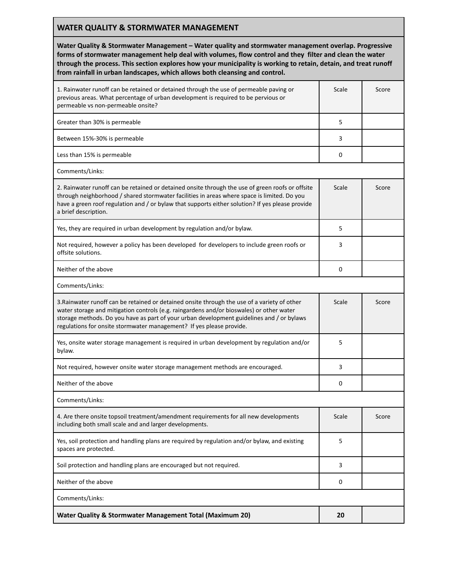#### **WATER QUALITY & STORMWATER MANAGEMENT**

**Water Quality & Stormwater Management – Water quality and stormwater management overlap. Progressive forms of stormwater management help deal with volumes, flow control and they filter and clean the water through the process. This section explores how your municipality is working to retain, detain, and treat runoff from rainfall in urban landscapes, which allows both cleansing and control.**

| 1. Rainwater runoff can be retained or detained through the use of permeable paving or<br>previous areas. What percentage of urban development is required to be pervious or<br>permeable vs non-permeable onsite?                                                                                                                                            | Scale | Score |
|---------------------------------------------------------------------------------------------------------------------------------------------------------------------------------------------------------------------------------------------------------------------------------------------------------------------------------------------------------------|-------|-------|
| Greater than 30% is permeable                                                                                                                                                                                                                                                                                                                                 | 5     |       |
| Between 15%-30% is permeable                                                                                                                                                                                                                                                                                                                                  | 3     |       |
| Less than 15% is permeable                                                                                                                                                                                                                                                                                                                                    | 0     |       |
| Comments/Links:                                                                                                                                                                                                                                                                                                                                               |       |       |
| 2. Rainwater runoff can be retained or detained onsite through the use of green roofs or offsite<br>through neighborhood / shared stormwater facilities in areas where space is limited. Do you<br>have a green roof regulation and / or bylaw that supports either solution? If yes please provide<br>a brief description.                                   | Scale | Score |
| Yes, they are required in urban development by regulation and/or bylaw.                                                                                                                                                                                                                                                                                       | 5     |       |
| Not required, however a policy has been developed for developers to include green roofs or<br>offsite solutions.                                                                                                                                                                                                                                              | 3     |       |
| Neither of the above                                                                                                                                                                                                                                                                                                                                          | 0     |       |
| Comments/Links:                                                                                                                                                                                                                                                                                                                                               |       |       |
| 3. Rainwater runoff can be retained or detained onsite through the use of a variety of other<br>water storage and mitigation controls (e.g. raingardens and/or bioswales) or other water<br>storage methods. Do you have as part of your urban development guidelines and / or bylaws<br>regulations for onsite stormwater management? If yes please provide. | Scale | Score |
| Yes, onsite water storage management is required in urban development by regulation and/or<br>bylaw.                                                                                                                                                                                                                                                          | 5     |       |
| Not required, however onsite water storage management methods are encouraged.                                                                                                                                                                                                                                                                                 | 3     |       |
| Neither of the above                                                                                                                                                                                                                                                                                                                                          | 0     |       |
| Comments/Links:                                                                                                                                                                                                                                                                                                                                               |       |       |
| 4. Are there onsite topsoil treatment/amendment requirements for all new developments<br>including both small scale and and larger developments.                                                                                                                                                                                                              | Scale | Score |
| Yes, soil protection and handling plans are required by regulation and/or bylaw, and existing<br>spaces are protected.                                                                                                                                                                                                                                        | 5     |       |
| Soil protection and handling plans are encouraged but not required.                                                                                                                                                                                                                                                                                           | 3     |       |
| Neither of the above                                                                                                                                                                                                                                                                                                                                          | 0     |       |
| Comments/Links:                                                                                                                                                                                                                                                                                                                                               |       |       |
| Water Quality & Stormwater Management Total (Maximum 20)                                                                                                                                                                                                                                                                                                      | 20    |       |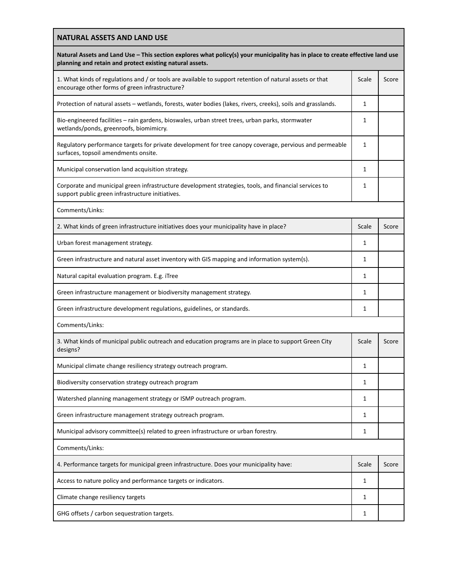| <b>NATURAL ASSETS AND LAND USE</b><br>Natural Assets and Land Use - This section explores what policy(s) your municipality has in place to create effective land use<br>planning and retain and protect existing natural assets. |              |       |
|----------------------------------------------------------------------------------------------------------------------------------------------------------------------------------------------------------------------------------|--------------|-------|
|                                                                                                                                                                                                                                  |              |       |
| Protection of natural assets - wetlands, forests, water bodies (lakes, rivers, creeks), soils and grasslands.                                                                                                                    | 1            |       |
| Bio-engineered facilities - rain gardens, bioswales, urban street trees, urban parks, stormwater<br>wetlands/ponds, greenroofs, biomimicry.                                                                                      | 1            |       |
| Regulatory performance targets for private development for tree canopy coverage, pervious and permeable<br>surfaces, topsoil amendments onsite.                                                                                  | 1            |       |
| Municipal conservation land acquisition strategy.                                                                                                                                                                                | 1            |       |
| Corporate and municipal green infrastructure development strategies, tools, and financial services to<br>support public green infrastructure initiatives.                                                                        | 1            |       |
| Comments/Links:                                                                                                                                                                                                                  |              |       |
| 2. What kinds of green infrastructure initiatives does your municipality have in place?                                                                                                                                          | Scale        | Score |
| Urban forest management strategy.                                                                                                                                                                                                | 1            |       |
| Green infrastructure and natural asset inventory with GIS mapping and information system(s).                                                                                                                                     | 1            |       |
| Natural capital evaluation program. E.g. iTree                                                                                                                                                                                   | 1            |       |
| Green infrastructure management or biodiversity management strategy.                                                                                                                                                             | $\mathbf{1}$ |       |
| Green infrastructure development regulations, guidelines, or standards.                                                                                                                                                          | 1            |       |
| Comments/Links:                                                                                                                                                                                                                  |              |       |
| 3. What kinds of municipal public outreach and education programs are in place to support Green City<br>designs?                                                                                                                 | Scale        | Score |
| Municipal climate change resiliency strategy outreach program.                                                                                                                                                                   | 1            |       |
| Biodiversity conservation strategy outreach program                                                                                                                                                                              | 1            |       |
| Watershed planning management strategy or ISMP outreach program.                                                                                                                                                                 | 1            |       |
| Green infrastructure management strategy outreach program.                                                                                                                                                                       | 1            |       |
| Municipal advisory committee(s) related to green infrastructure or urban forestry.                                                                                                                                               | 1            |       |
| Comments/Links:                                                                                                                                                                                                                  |              |       |
| 4. Performance targets for municipal green infrastructure. Does your municipality have:                                                                                                                                          | Scale        | Score |
| Access to nature policy and performance targets or indicators.                                                                                                                                                                   | 1            |       |
| Climate change resiliency targets                                                                                                                                                                                                | 1            |       |
| GHG offsets / carbon sequestration targets.                                                                                                                                                                                      | 1            |       |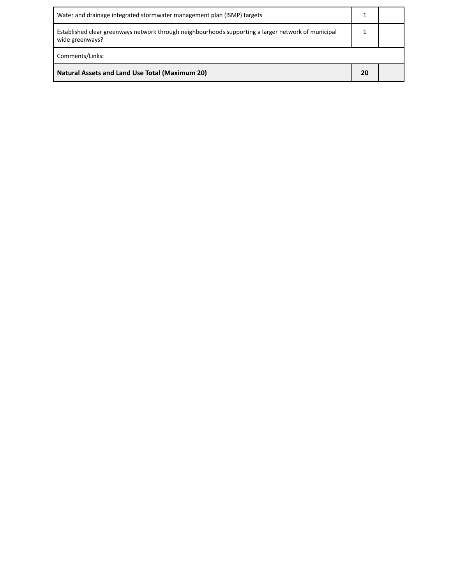| Water and drainage integrated stormwater management plan (ISMP) targets                                                |  |  |
|------------------------------------------------------------------------------------------------------------------------|--|--|
| Established clear greenways network through neighbourhoods supporting a larger network of municipal<br>wide greenways? |  |  |
| Comments/Links:                                                                                                        |  |  |
| <b>Natural Assets and Land Use Total (Maximum 20)</b>                                                                  |  |  |